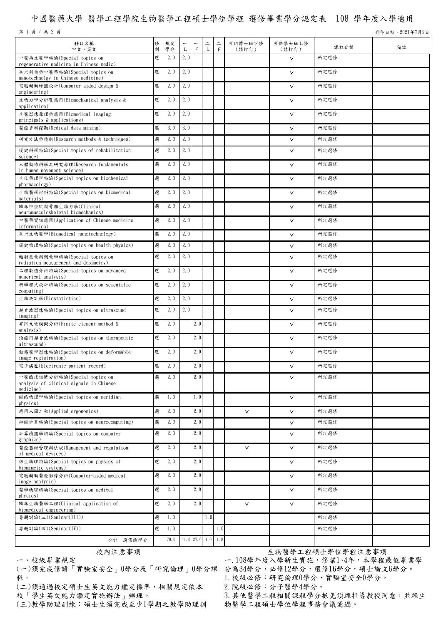## 中國醫藥大學 醫學工程學院生物醫學工程碩士學位學程 選修畢業學分認定表 108 學年度入學適用

第 1 頁 / 共 2 頁 기 9221年7月2日 カランド・カード こうしゅうしゅう しゅうしゅう かいしゅう かいしゅう うちのう 列印日期:2021年7月2日

| 科目名稱<br>中文、英文                                                                        | 俢<br>別 | 規定<br>學分 | $\overline{\phantom{m}}$<br>上 | $\top$ | $\equiv$<br>上       | $\equiv$<br>$\top$ | 可供博士班下修<br>(請打勾) | 可供學士班上修<br>(請打勾) | 課程分類 | 備註 |
|--------------------------------------------------------------------------------------|--------|----------|-------------------------------|--------|---------------------|--------------------|------------------|------------------|------|----|
| 中醫再生醫學特論(Special topics on<br>regenerative medicine in Chinese medic)                | 選      | 2.0      | 2.0                           |        |                     |                    |                  | $\vee$           | 所定選修 |    |
| 奈米科技與中醫藥特論(Special topics on<br>nanotechnolgy in Chinese medicine)                   | 選      | 2.0      | 2.0                           |        |                     |                    |                  | $\vee$           | 所定選修 |    |
| 電腦輔助繪圖設計(Computer aided design &<br>engineering)                                     | 選      | 2.0      | 2.0                           |        |                     |                    |                  | $\vee$           | 所定選修 |    |
| 生物力學分析暨應用(Biomechanical analysis &<br>application)                                   | 選      | 2.0      | 2.0                           |        |                     |                    |                  | $\vee$           | 所定選修 |    |
| 生醫影像原理與應用(Biomedical imaging<br>principals & applications)                           | 選      | 2.0      | 2.0                           |        |                     |                    |                  | $\vee$           | 所定選修 |    |
| 醫療資料探勘(Medical data mining)                                                          | 選      | 3.0      | 3.0                           |        |                     |                    |                  | $\vee$           | 所定選修 |    |
| 研究方法與技術(Research methods & techniques)                                               | 選      | 2.0      | 2.0                           |        |                     |                    |                  | $\vee$           | 所定選修 |    |
| 復健科學特論(Special topics of rehabilitation<br>science)                                  | 選      | 2.0      | 2.0                           |        |                     |                    |                  | $\vee$           | 所定選修 |    |
| 人體動作科學之研究原理(Research fundamentals<br>in human movement science)                      | 選      | 2.0      | 2.0                           |        |                     |                    |                  | $\vee$           | 所定選修 |    |
| 生化藥理學特論(Special topics on biochemical<br>pharmacology)                               | 選      | 2.0      | 2.0                           |        |                     |                    |                  | $\vee$           | 所定選修 |    |
| 生物醫學材料特論(Special topics on biomedical<br>materials)                                  | 選      | 2.0      | 2.0                           |        |                     |                    |                  | $\vee$           | 所定選修 |    |
| 臨床神經肌肉骨骼生物力學(Clinical<br>neuromusculoskeletal biomechanics)                          | 選      | 2.0      | 2.0                           |        |                     |                    |                  | $\vee$           | 所定選修 |    |
| 中醫藥資訊應用(Application of Chinese medicine<br>information)                              | 選      | 2.0      | 2.0                           |        |                     |                    |                  | $\vee$           | 所定選修 |    |
| 奈米生物醫學(Biomedical nanotechnology)                                                    | 選      | 2.0      | 2.0                           |        |                     |                    |                  | $\vee$           | 所定選修 |    |
| 保健物理特論(Special topics on health physics)                                             | 選      | 2.0      | 2.0                           |        |                     |                    |                  | $\vee$           | 所定選修 |    |
| 輻射度量與劑量學特論(Special topics on<br>radiation measurement and dosimetry)                 | 選      | 2.0      | 2.0                           |        |                     |                    |                  | $\vee$           | 所定選修 |    |
| 工程數值分析特論(Special topics on advanced<br>numerical analysis)                           | 選      | 2.0      | 2.0                           |        |                     |                    |                  | $\vee$           | 所定選修 |    |
| 科學程式設計特論(Special topics on scientific<br>computing)                                  | 選      | 2.0      | 2.0                           |        |                     |                    |                  | $\vee$           | 所定選修 |    |
| 生物統計學(Biostatistics)                                                                 | 選      | 2.0      | 2.0                           |        |                     |                    |                  | $\vee$           | 所定選修 |    |
| 超音波影像特論(Special topics on ultrasound                                                 | 選      | 2.0      | 2.0                           |        |                     |                    |                  | $\vee$           | 所定選修 |    |
| imaging)<br>有限元素模擬分析(Finite element method &<br>analysis)                            | 選      | 2.0      |                               | 2.0    |                     |                    |                  | $\vee$           | 所定選修 |    |
| 治療用超音波特論(Special topics on therapeutic<br>ultrasound)                                | 選      | 2.0      |                               | 2.0    |                     |                    |                  | $\vee$           | 所定選修 |    |
| 動態醫學影像特論(Special topics on deformable<br>image registration)                         | 選      | 2.0      |                               | 2.0    |                     |                    |                  | $\vee$           | 所定選修 |    |
| 電子病歷(Electronic patient record)                                                      | 選      | 2.0      |                               | 2.0    |                     |                    |                  | $\vee$           | 所定選修 |    |
| 中醫臨床訊號分析特論(Special topics on<br>analysis of clinical signals in Chinese<br>medicine) | 選      | 2.0      |                               | 2.0    |                     |                    |                  | $\vee$           | 所定選修 |    |
| 經絡物理學特論(Special topics on meridian<br>physics)                                       | 選      | 1.0      |                               | 1.0    |                     |                    |                  | $\vee$           | 所定選修 |    |
| 應用人因工程(Applied ergonomics)                                                           | 選      | 2.0      |                               | 2.0    |                     |                    | $\vee$           | $\vee$           | 所定選修 |    |
| 神經計算特論(Special topics on neurocomputing)                                             | 選      | 2.0      |                               | 2.0    |                     |                    |                  | $\vee$           | 所定選修 |    |
| 計算機圖學特論(Special topics on computer<br>graphics)                                      | 選      | 2.0      |                               | 2.0    |                     |                    |                  | $\vee$           | 所定選修 |    |
| 醫療器材管理與法規(Management and regulation<br>of medical devices)                           | 選      | 2.0      |                               | 2.0    |                     |                    | $\vee$           | $\vee$           | 所定選修 |    |
| 仿生物理特論(Special topics on physics of<br>biomimetic systems)                           | 選      | 2.0      |                               | 2.0    |                     |                    |                  | $\checkmark$     | 所定選修 |    |
| 電腦輔助醫療影像分析(Computer-aided medical<br>image analysis)                                 | 選      | 2.0      |                               | 2.0    |                     |                    |                  | $\vee$           | 所定選修 |    |
| 醫學物理特論(Special topics on medical<br>physics)                                         | 選      | 2.0      |                               | 2.0    |                     |                    |                  | $\vee$           | 所定選修 |    |
| 臨床生物醫學工程(Clinical application of<br>biomedical engineering)                          | 選      | 2.0      |                               | 2.0    |                     |                    | $\vee$           | $\vee$           | 所定選修 |    |
| 專題討論(三)(Seminar(III))                                                                | 選      | 1.0      |                               |        | 1.0                 |                    |                  |                  | 所定選修 |    |
| 專題討論(四)(Seminar(IV))                                                                 | 選      | 1.0      |                               |        |                     | 1.0                |                  |                  | 所定選修 |    |
| 合計 選修總學分                                                                             |        | 70.0     |                               |        | $41.0$ 27.0 1.0 1.0 |                    |                  |                  |      |    |

一、校級畢業規定

(一)須完成修讀「實驗室安全」0學分及「研究倫理」0學分課 分為34學分,必修12學分,選修16學分,碩士論文6學分。 程。

(二)須通過校定碩士生英文能力鑑定標準,相關規定依本 校「學生英文能力鑑定實施辦法」辦理。

(三)教學助理訓練:碩士生須完成至少1學期之教學助理訓

校內注意事項 安內注意會員 医二十二十二十二十一 医紫色学 医单位学程注意事項

一.108學年度入學新生實施,修業1~4年,本學程最低畢業學 1.校級必修:研究倫理0學分、實驗室安全0學分。

2.院級必修:分子醫學4學分。

3.其他醫學工程相關課程學分抵免須經指導教授同意,並經生 物醫學工程碩士學位學程事務會議通過。